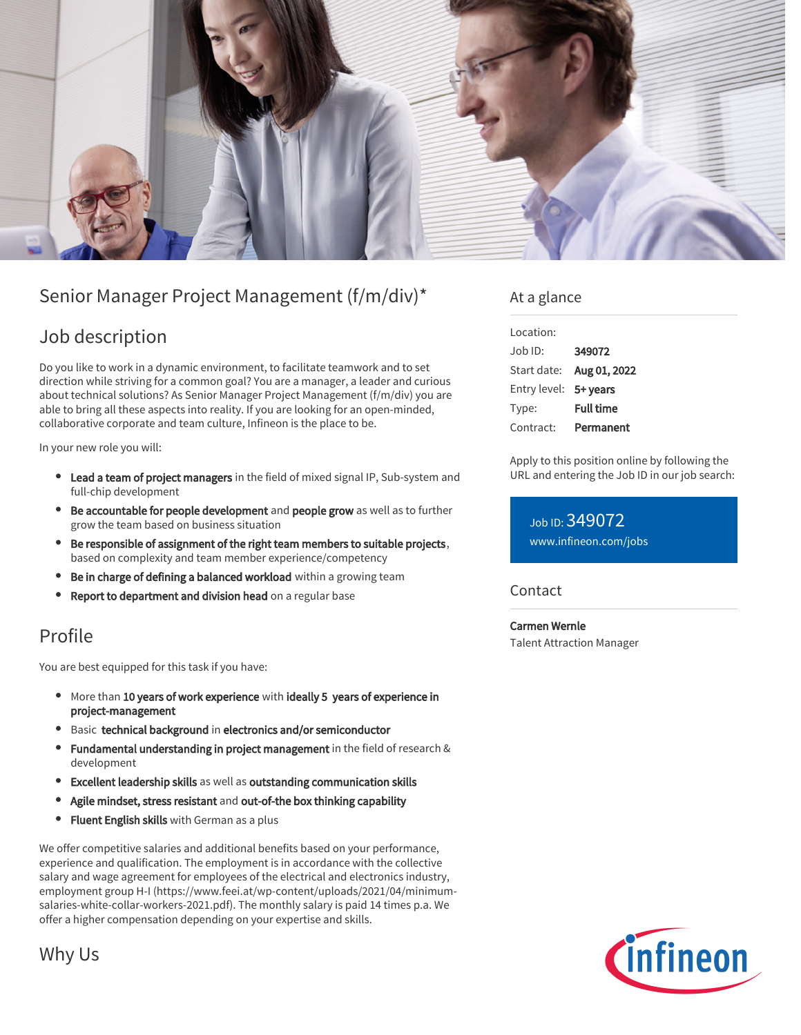

# Senior Manager Project Management (f/m/div)\*

## Job description

Do you like to work in a dynamic environment, to facilitate teamwork and to set direction while striving for a common goal? You are a manager, a leader and curious about technical solutions? As Senior Manager Project Management (f/m/div) you are able to bring all these aspects into reality. If you are looking for an open-minded, collaborative corporate and team culture, Infineon is the place to be.

In your new role you will:

- **Lead a team of project managers** in the field of mixed signal IP, Sub-system and full-chip development
- Be accountable for people development and people grow as well as to further grow the team based on business situation
- Be responsible of assignment of the right team members to suitable projects, based on complexity and team member experience/competency
- Be in charge of defining a balanced workload within a growing team
- $\bullet$ Report to department and division head on a regular base

### Profile

You are best equipped for this task if you have:

- More than 10 years of work experience with ideally 5 years of experience in project-management
- **Basic technical background in electronics and/or semiconductor**
- Fundamental understanding in project management in the field of research & development
- Excellent leadership skills as well as outstanding communication skills
- Agile mindset, stress resistant and out-of-the box thinking capability
- **Fluent English skills** with German as a plus

We offer competitive salaries and additional benefits based on your performance, experience and qualification. The employment is in accordance with the collective salary and wage agreement for employees of the electrical and electronics industry, employment group H-I (https://www.feei.at/wp-content/uploads/2021/04/minimumsalaries-white-collar-workers-2021.pdf). The monthly salary is paid 14 times p.a. We offer a higher compensation depending on your expertise and skills.

### At a glance

| Location:             |                  |
|-----------------------|------------------|
| $.$ lob $1D$ :        | 349072           |
| Start date:           | Aug 01, 2022     |
| Entry level: 5+ years |                  |
| Type:                 | <b>Full time</b> |
| Contract:             | Permanent        |

Apply to this position online by following the URL and entering the Job ID in our job search:

Job ID: 349072 [www.infineon.com/jobs](https://www.infineon.com/jobs)

### **Contact**

Carmen Wernle Talent Attraction Manager



### Why Us